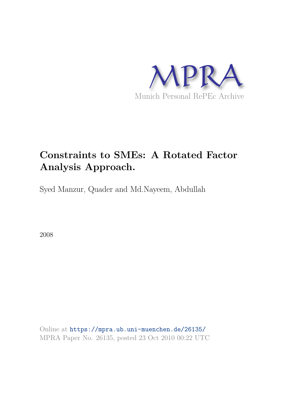

# **Constraints to SMEs: A Rotated Factor Analysis Approach.**

Syed Manzur, Quader and Md.Nayeem, Abdullah

2008

Online at https://mpra.ub.uni-muenchen.de/26135/ MPRA Paper No. 26135, posted 23 Oct 2010 00:22 UTC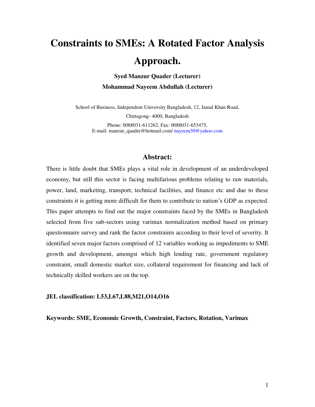# **Constraints to SMEs: A Rotated Factor Analysis Approach.**

**Syed Manzur Quader (Lecturer) Mohammad Nayeem Abdullah (Lecturer)** 

School of Business, Independent University Bangladesh, 12, Jamal Khan Road,

Chittagong- 4000, Bangladesh

Phone: 0088031-611262, Fax: 0088031-653475, E-mail: manzur\_quader@hotmail.com[/ nayeem30@yahoo.com](mailto:Nayeem30@yahoo.com) 

#### **Abstract:**

There is little doubt that SMEs plays a vital role in development of an underdeveloped economy, but still this sector is facing multifarious problems relating to raw materials, power, land, marketing, transport, technical facilities, and finance etc and due to these constraints it is getting more difficult for them to contribute to nation"s GDP as expected. This paper attempts to find out the major constraints faced by the SMEs in Bangladesh selected from five sub-sectors using varimax normalization method based on primary questionnaire survey and rank the factor constraints according to their level of severity. It identified seven major factors comprised of 12 variables working as impediments to SME growth and development, amongst which high lending rate, government regulatory constraint, small domestic market size, collateral requirement for financing and lack of technically skilled workers are on the top.

#### **JEL classification: L53,L67,L88,M21,O14,O16**

**Keywords: SME, Economic Growth, Constraint, Factors, Rotation, Varimax**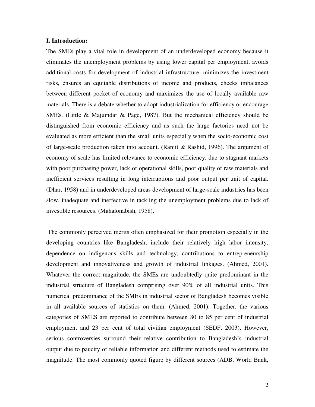#### **I. Introduction:**

The SMEs play a vital role in development of an underdeveloped economy because it eliminates the unemployment problems by using lower capital per employment, avoids additional costs for development of industrial infrastructure, minimizes the investment risks, ensures an equitable distributions of income and products, checks imbalances between different pocket of economy and maximizes the use of locally available raw materials. There is a debate whether to adopt industrialization for efficiency or encourage SMEs. (Little & Majumdar & Page, 1987). But the mechanical efficiency should be distinguished from economic efficiency and as such the large factories need not be evaluated as more efficient than the small units especially when the socio-economic cost of large-scale production taken into account. (Ranjit & Rashid, 1996). The argument of economy of scale has limited relevance to economic efficiency, due to stagnant markets with poor purchasing power, lack of operational skills, poor quality of raw materials and inefficient services resulting in long interruptions and poor output per unit of capital. (Dhar, 1958) and in underdeveloped areas development of large-scale industries has been slow, inadequate and ineffective in tackling the unemployment problems due to lack of investible resources. (Mahalonabish, 1958).

 The commonly perceived merits often emphasized for their promotion especially in the developing countries like Bangladesh, include their relatively high labor intensity, dependence on indigenous skills and technology, contributions to entrepreneurship development and innovativeness and growth of industrial linkages. (Ahmed, 2001). Whatever the correct magnitude, the SMEs are undoubtedly quite predominant in the industrial structure of Bangladesh comprising over 90% of all industrial units. This numerical predominance of the SMEs in industrial sector of Bangladesh becomes visible in all available sources of statistics on them. (Ahmed, 2001). Together, the various categories of SMES are reported to contribute between 80 to 85 per cent of industrial employment and 23 per cent of total civilian employment (SEDF, 2003). However, serious controversies surround their relative contribution to Bangladesh"s industrial output due to paucity of reliable information and different methods used to estimate the magnitude. The most commonly quoted figure by different sources (ADB, World Bank,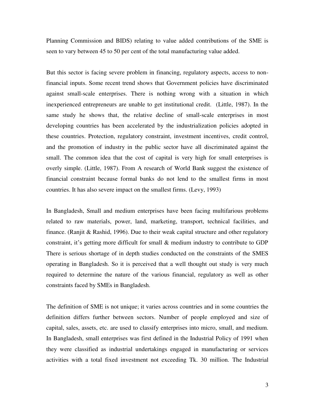Planning Commission and BIDS) relating to value added contributions of the SME is seen to vary between 45 to 50 per cent of the total manufacturing value added.

But this sector is facing severe problem in financing, regulatory aspects, access to nonfinancial inputs. Some recent trend shows that Government policies have discriminated against small-scale enterprises. There is nothing wrong with a situation in which inexperienced entrepreneurs are unable to get institutional credit. (Little, 1987). In the same study he shows that, the relative decline of small-scale enterprises in most developing countries has been accelerated by the industrialization policies adopted in these countries. Protection, regulatory constraint, investment incentives, credit control, and the promotion of industry in the public sector have all discriminated against the small. The common idea that the cost of capital is very high for small enterprises is overly simple. (Little, 1987). From A research of World Bank suggest the existence of financial constraint because formal banks do not lend to the smallest firms in most countries. It has also severe impact on the smallest firms. (Levy, 1993)

In Bangladesh, Small and medium enterprises have been facing multifarious problems related to raw materials, power, land, marketing, transport, technical facilities, and finance. (Ranjit & Rashid, 1996). Due to their weak capital structure and other regulatory constraint, it's getting more difficult for small  $\&$  medium industry to contribute to GDP There is serious shortage of in depth studies conducted on the constraints of the SMES operating in Bangladesh. So it is perceived that a well thought out study is very much required to determine the nature of the various financial, regulatory as well as other constraints faced by SMEs in Bangladesh.

The definition of SME is not unique; it varies across countries and in some countries the definition differs further between sectors. Number of people employed and size of capital, sales, assets, etc. are used to classify enterprises into micro, small, and medium. In Bangladesh, small enterprises was first defined in the Industrial Policy of 1991 when they were classified as industrial undertakings engaged in manufacturing or services activities with a total fixed investment not exceeding Tk. 30 million. The Industrial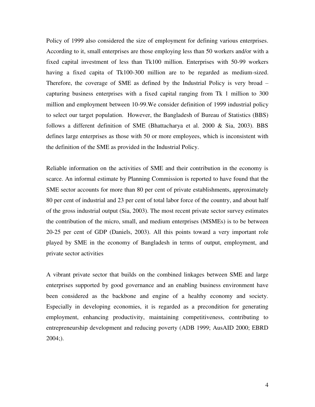Policy of 1999 also considered the size of employment for defining various enterprises. According to it, small enterprises are those employing less than 50 workers and/or with a fixed capital investment of less than Tk100 million. Enterprises with 50-99 workers having a fixed capita of Tk100-300 million are to be regarded as medium-sized. Therefore, the coverage of SME as defined by the Industrial Policy is very broad – capturing business enterprises with a fixed capital ranging from Tk 1 million to 300 million and employment between 10-99.We consider definition of 1999 industrial policy to select our target population. However, the Bangladesh of Bureau of Statistics (BBS) follows a different definition of SME (Bhattacharya et al. 2000 & Sia, 2003). BBS defines large enterprises as those with 50 or more employees, which is inconsistent with the definition of the SME as provided in the Industrial Policy.

Reliable information on the activities of SME and their contribution in the economy is scarce. An informal estimate by Planning Commission is reported to have found that the SME sector accounts for more than 80 per cent of private establishments, approximately 80 per cent of industrial and 23 per cent of total labor force of the country, and about half of the gross industrial output (Sia, 2003). The most recent private sector survey estimates the contribution of the micro, small, and medium enterprises (MSMEs) is to be between 20-25 per cent of GDP (Daniels, 2003). All this points toward a very important role played by SME in the economy of Bangladesh in terms of output, employment, and private sector activities

A vibrant private sector that builds on the combined linkages between SME and large enterprises supported by good governance and an enabling business environment have been considered as the backbone and engine of a healthy economy and society. Especially in developing economies, it is regarded as a precondition for generating employment, enhancing productivity, maintaining competitiveness, contributing to entrepreneurship development and reducing poverty (ADB 1999; AusAID 2000; EBRD  $2004;$ ).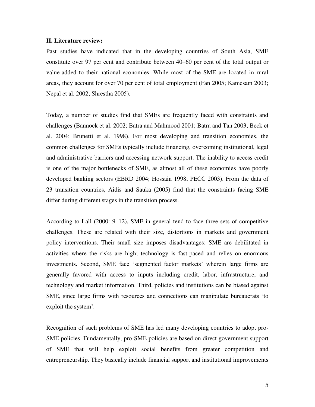#### **II. Literature review:**

Past studies have indicated that in the developing countries of South Asia, SME constitute over 97 per cent and contribute between 40–60 per cent of the total output or value-added to their national economies. While most of the SME are located in rural areas, they account for over 70 per cent of total employment (Fan 2005; Kamesam 2003; Nepal et al. 2002; Shrestha 2005).

Today, a number of studies find that SMEs are frequently faced with constraints and challenges (Bannock et al. 2002; Batra and Mahmood 2001; Batra and Tan 2003; Beck et al. 2004; Brunetti et al. 1998). For most developing and transition economies, the common challenges for SMEs typically include financing, overcoming institutional, legal and administrative barriers and accessing network support. The inability to access credit is one of the major bottlenecks of SME, as almost all of these economies have poorly developed banking sectors (EBRD 2004; Hossain 1998; PECC 2003). From the data of 23 transition countries, Aidis and Sauka (2005) find that the constraints facing SME differ during different stages in the transition process.

According to Lall (2000: 9–12), SME in general tend to face three sets of competitive challenges. These are related with their size, distortions in markets and government policy interventions. Their small size imposes disadvantages: SME are debilitated in activities where the risks are high; technology is fast-paced and relies on enormous investments. Second, SME face 'segmented factor markets' wherein large firms are generally favored with access to inputs including credit, labor, infrastructure, and technology and market information. Third, policies and institutions can be biased against SME, since large firms with resources and connections can manipulate bureaucrats "to exploit the system'.

Recognition of such problems of SME has led many developing countries to adopt pro-SME policies. Fundamentally, pro-SME policies are based on direct government support of SME that will help exploit social benefits from greater competition and entrepreneurship. They basically include financial support and institutional improvements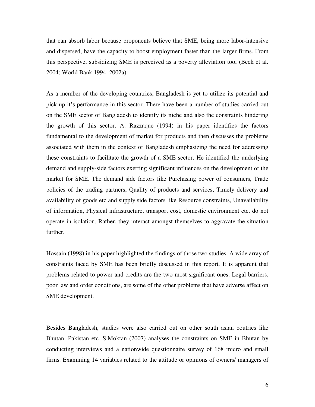that can absorb labor because proponents believe that SME, being more labor-intensive and dispersed, have the capacity to boost employment faster than the larger firms. From this perspective, subsidizing SME is perceived as a poverty alleviation tool (Beck et al. 2004; World Bank 1994, 2002a).

As a member of the developing countries, Bangladesh is yet to utilize its potential and pick up it's performance in this sector. There have been a number of studies carried out on the SME sector of Bangladesh to identify its niche and also the constraints hindering the growth of this sector. A. Razzaque (1994) in his paper identifies the factors fundamental to the development of market for products and then discusses the problems associated with them in the context of Bangladesh emphasizing the need for addressing these constraints to facilitate the growth of a SME sector. He identified the underlying demand and supply-side factors exerting significant influences on the development of the market for SME. The demand side factors like Purchasing power of consumers, Trade policies of the trading partners, Quality of products and services, Timely delivery and availability of goods etc and supply side factors like Resource constraints, Unavailability of information, Physical infrastructure, transport cost, domestic environment etc. do not operate in isolation. Rather, they interact amongst themselves to aggravate the situation further.

Hossain (1998) in his paper highlighted the findings of those two studies. A wide array of constraints faced by SME has been briefly discussed in this report. It is apparent that problems related to power and credits are the two most significant ones. Legal barriers, poor law and order conditions, are some of the other problems that have adverse affect on SME development.

Besides Bangladesh, studies were also carried out on other south asian coutries like Bhutan, Pakistan etc. S.Moktan (2007) analyses the constraints on SME in Bhutan by conducting interviews and a nationwide questionnaire survey of 168 micro and small firms. Examining 14 variables related to the attitude or opinions of owners/ managers of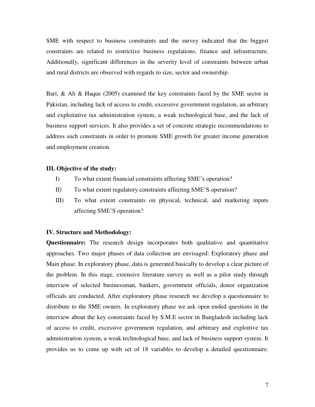SME with respect to business constraints and the survey indicated that the biggest constraints are related to restrictive business regulations, finance and infrastructure. Additionally, significant differences in the severity level of constraints between urban and rural districts are observed with regards to size, sector and ownership.

Bari, & Ali & Haque (2005) examined the key constraints faced by the SME sector in Pakistan, including lack of access to credit, excessive government regulation, an arbitrary and exploitative tax administration system, a weak technological base, and the lack of business support services. It also provides a set of concrete strategic recommendations to address such constraints in order to promote SME growth for greater income generation and employment creation.

#### **III. Objective of the study:**

- I) To what extent financial constraints affecting SME"s operation?
- II) To what extent regulatory constraints affecting SME"S operation?
- III) To what extent constraints on physical, technical, and marketing inputs affecting SME"S operation?

#### **IV. Structure and Methodology:**

**Questionnaire:** The research design incorporates both qualitative and quantitative approaches. Two major phases of data collection are envisaged: Exploratory phase and Main phase. In exploratory phase, data is generated basically to develop a clear picture of the problem. In this stage, extensive literature survey as well as a pilot study through interview of selected businessman, bankers, government officials, donor organization officials are conducted. After exploratory phase research we develop a questionnaire to distribute to the SME owners. In exploratory phase we ask open ended questions in the interview about the key constraints faced by S.M.E sector in Bangladesh including lack of access to credit, excessive government regulation, and arbitrary and exploitive tax administration system, a weak technological base, and lack of business support system. It provides us to come up with set of 18 variables to develop a detailed questionnaire.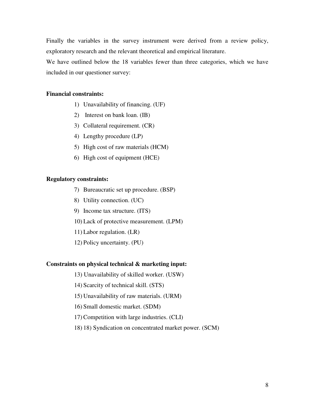Finally the variables in the survey instrument were derived from a review policy, exploratory research and the relevant theoretical and empirical literature.

We have outlined below the 18 variables fewer than three categories, which we have included in our questioner survey:

#### **Financial constraints:**

- 1) Unavailability of financing. (UF)
- 2) Interest on bank loan. (IB)
- 3) Collateral requirement. (CR)
- 4) Lengthy procedure (LP)
- 5) High cost of raw materials (HCM)
- 6) High cost of equipment (HCE)

#### **Regulatory constraints:**

- 7) Bureaucratic set up procedure. (BSP)
- 8) Utility connection. (UC)
- 9) Income tax structure. (ITS)
- 10) Lack of protective measurement. (LPM)
- 11) Labor regulation. (LR)
- 12) Policy uncertainty. (PU)

#### **Constraints on physical technical & marketing input:**

- 13) Unavailability of skilled worker. (USW)
- 14) Scarcity of technical skill. (STS)
- 15) Unavailability of raw materials. (URM)
- 16) Small domestic market. (SDM)
- 17) Competition with large industries. (CLI)
- 18) 18) Syndication on concentrated market power. (SCM)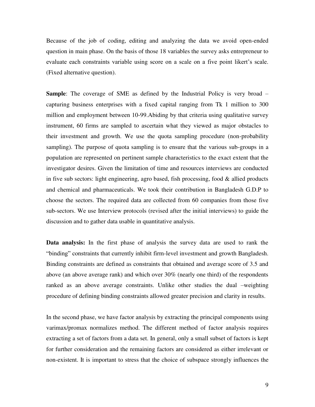Because of the job of coding, editing and analyzing the data we avoid open-ended question in main phase. On the basis of those 18 variables the survey asks entrepreneur to evaluate each constraints variable using score on a scale on a five point likert's scale. (Fixed alternative question).

**Sample**: The coverage of SME as defined by the Industrial Policy is very broad – capturing business enterprises with a fixed capital ranging from Tk 1 million to 300 million and employment between 10-99.Abiding by that criteria using qualitative survey instrument, 60 firms are sampled to ascertain what they viewed as major obstacles to their investment and growth. We use the quota sampling procedure (non-probability sampling). The purpose of quota sampling is to ensure that the various sub-groups in a population are represented on pertinent sample characteristics to the exact extent that the investigator desires. Given the limitation of time and resources interviews are conducted in five sub sectors: light engineering, agro based, fish processing, food  $\&$  allied products and chemical and pharmaceuticals. We took their contribution in Bangladesh G.D.P to choose the sectors. The required data are collected from 60 companies from those five sub-sectors. We use Interview protocols (revised after the initial interviews) to guide the discussion and to gather data usable in quantitative analysis.

**Data analysis:** In the first phase of analysis the survey data are used to rank the "binding" constraints that currently inhibit firm-level investment and growth Bangladesh. Binding constraints are defined as constraints that obtained and average score of 3.5 and above (an above average rank) and which over 30% (nearly one third) of the respondents ranked as an above average constraints. Unlike other studies the dual –weighting procedure of defining binding constraints allowed greater precision and clarity in results.

In the second phase, we have factor analysis by extracting the principal components using varimax/promax normalizes method. The different method of factor analysis requires extracting a set of factors from a data set. In general, only a small subset of factors is kept for further consideration and the remaining factors are considered as either irrelevant or non-existent. It is important to stress that the choice of subspace strongly influences the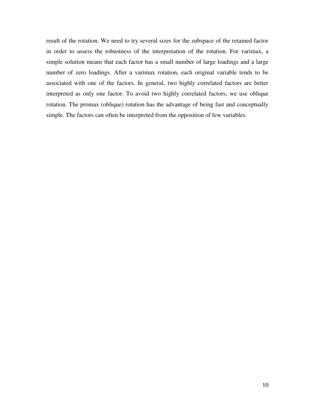result of the rotation. We need to try several sizes for the subspace of the retained factor in order to assess the robustness of the interpretation of the rotation. For varimax, a simple solution means that each factor has a small number of large loadings and a large number of zero loadings. After a varimax rotation, each original variable tends to be associated with one of the factors. In general, two highly correlated factors are better interpreted as only one factor. To avoid two highly correlated factors, we use oblique rotation. The promax (oblique) rotation has the advantage of being fast and conceptually simple. The factors can often be interpreted from the opposition of few variables.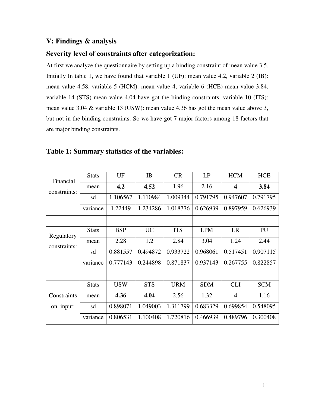# **V: Findings & analysis**

### **Severity level of constraints after categorization:**

At first we analyze the questionnaire by setting up a binding constraint of mean value 3.5. Initially In table 1, we have found that variable 1 (UF): mean value 4.2, variable 2 (IB): mean value 4.58, variable 5 (HCM): mean value 4, variable 6 (HCE) mean value 3.84, variable 14 (STS) mean value 4.04 have got the binding constraints, variable 10 (ITS): mean value 3.04 & variable 13 (USW): mean value 4.36 has got the mean value above 3, but not in the binding constraints. So we have got 7 major factors among 18 factors that are major binding constraints.

| Financial    | <b>Stats</b> | UF         | IB         | <b>CR</b>  | LP         | <b>HCM</b>              | <b>HCE</b> |
|--------------|--------------|------------|------------|------------|------------|-------------------------|------------|
| constraints: | mean         | 4.2        | 4.52       | 1.96       | 2.16       | $\overline{\mathbf{4}}$ | 3.84       |
|              | sd           | 1.106567   | 1.110984   | 1.009344   | 0.791795   | 0.947607                | 0.791795   |
|              | variance     | 1.22449    | 1.234286   | 1.018776   | 0.626939   | 0.897959                | 0.626939   |
|              |              |            |            |            |            |                         |            |
| Regulatory   | <b>Stats</b> | <b>BSP</b> | <b>UC</b>  | <b>ITS</b> | <b>LPM</b> | <b>LR</b>               | PU         |
| constraints: | mean         | 2.28       | 1.2        | 2.84       | 3.04       | 1.24                    | 2.44       |
|              | sd           | 0.881557   | 0.494872   | 0.933722   | 0.968061   | 0.517451                | 0.907115   |
|              | variance     | 0.777143   | 0.244898   | 0.871837   | 0.937143   | 0.267755                | 0.822857   |
|              |              |            |            |            |            |                         |            |
|              | <b>Stats</b> | <b>USW</b> | <b>STS</b> | <b>URM</b> | <b>SDM</b> | <b>CLI</b>              | <b>SCM</b> |
| Constraints  | mean         | 4.36       | 4.04       | 2.56       | 1.32       | $\overline{\mathbf{4}}$ | 1.16       |
| on input:    | sd           | 0.898071   | 1.049003   | 1.311799   | 0.683329   | 0.699854                | 0.548095   |
|              | variance     | 0.806531   | 1.100408   | 1.720816   | 0.466939   | 0.489796                | 0.300408   |

## **Table 1: Summary statistics of the variables:**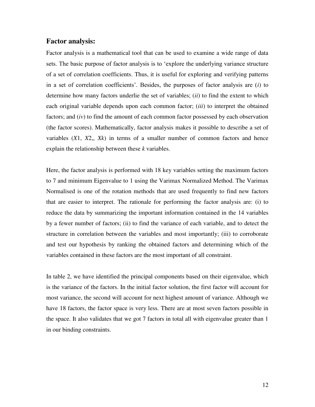#### **Factor analysis:**

Factor analysis is a mathematical tool that can be used to examine a wide range of data sets. The basic purpose of factor analysis is to "explore the underlying variance structure of a set of correlation coefficients. Thus, it is useful for exploring and verifying patterns in a set of correlation coefficients". Besides, the purposes of factor analysis are (*i*) to determine how many factors underlie the set of variables; (*ii*) to find the extent to which each original variable depends upon each common factor; (*iii*) to interpret the obtained factors; and (*iv*) to find the amount of each common factor possessed by each observation (the factor scores). Mathematically, factor analysis makes it possible to describe a set of variables (*X*1, *X*2,, *Xk*) in terms of a smaller number of common factors and hence explain the relationship between these *k* variables.

Here, the factor analysis is performed with 18 key variables setting the maximum factors to 7 and minimum Eigenvalue to 1 using the Varimax Normalized Method. The Varimax Normalised is one of the rotation methods that are used frequently to find new factors that are easier to interpret. The rationale for performing the factor analysis are: (i) to reduce the data by summarizing the important information contained in the 14 variables by a fewer number of factors; (ii) to find the variance of each variable, and to detect the structure in correlation between the variables and most importantly; (iii) to corroborate and test our hypothesis by ranking the obtained factors and determining which of the variables contained in these factors are the most important of all constraint.

In table 2, we have identified the principal components based on their eigenvalue, which is the variance of the factors. In the initial factor solution, the first factor will account for most variance, the second will account for next highest amount of variance. Although we have 18 factors, the factor space is very less. There are at most seven factors possible in the space. It also validates that we got 7 factors in total all with eigenvalue greater than 1 in our binding constraints.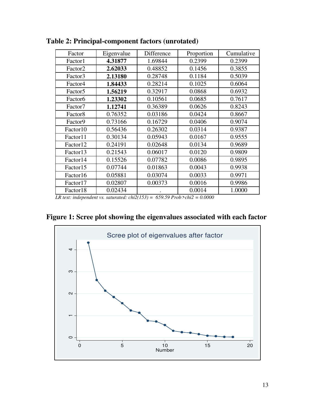| Factor               | Eigenvalue | Difference | Proportion | Cumulative |
|----------------------|------------|------------|------------|------------|
| Factor1              | 4.31877    | 1.69844    | 0.2399     | 0.2399     |
| Factor <sub>2</sub>  | 2.62033    | 0.48852    | 0.1456     | 0.3855     |
| Factor3              | 2.13180    | 0.28748    | 0.1184     | 0.5039     |
| Factor4              | 1.84433    | 0.28214    | 0.1025     | 0.6064     |
| Factor <sub>5</sub>  | 1.56219    | 0.32917    | 0.0868     | 0.6932     |
| Factor <sub>6</sub>  | 1.23302    | 0.10561    | 0.0685     | 0.7617     |
| Factor7              | 1.12741    | 0.36389    | 0.0626     | 0.8243     |
| Factor <sub>8</sub>  | 0.76352    | 0.03186    | 0.0424     | 0.8667     |
| Factor9              | 0.73166    | 0.16729    | 0.0406     | 0.9074     |
| Factor10             | 0.56436    | 0.26302    | 0.0314     | 0.9387     |
| Factor11             | 0.30134    | 0.05943    | 0.0167     | 0.9555     |
| Factor <sub>12</sub> | 0.24191    | 0.02648    | 0.0134     | 0.9689     |
| Factor13             | 0.21543    | 0.06017    | 0.0120     | 0.9809     |
| Factor14             | 0.15526    | 0.07782    | 0.0086     | 0.9895     |
| Factor15             | 0.07744    | 0.01863    | 0.0043     | 0.9938     |
| Factor16             | 0.05881    | 0.03074    | 0.0033     | 0.9971     |
| Factor17             | 0.02807    | 0.00373    | 0.0016     | 0.9986     |
| Factor18             | 0.02434    |            | 0.0014     | 1.0000     |

**Table 2: Principal-component factors (unrotated)** 

 *LR test: independent vs. saturated: chi2(153) = 659.59 Prob>chi2 = 0.0000* 



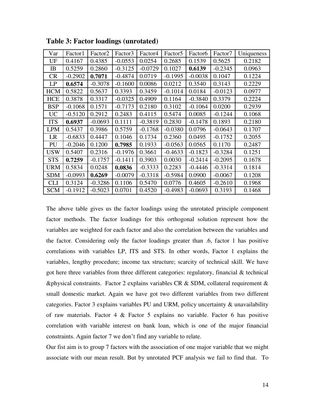| Var        | Factor1   | Factor <sub>2</sub> | Factor3   | Factor4   | Factor <sub>5</sub> | Factor <sub>6</sub> | Factor7   | Uniqueness |
|------------|-----------|---------------------|-----------|-----------|---------------------|---------------------|-----------|------------|
| UF         | 0.4167    | 0.4385              | $-0.0553$ | 0.0254    | 0.2685              | 0.1539              | 0.5625    | 0.2182     |
| IB         | 0.5259    | 0.2860              | $-0.3125$ | $-0.0729$ | 0.1027              | 0.6139              | $-0.2345$ | 0.0963     |
| <b>CR</b>  | $-0.2902$ | 0.7071              | $-0.4874$ | 0.0719    | $-0.1995$           | $-0.0038$           | 0.1047    | 0.1224     |
| LP         | 0.6574    | $-0.3078$           | $-0.1600$ | 0.0086    | 0.0212              | 0.3540              | 0.3143    | 0.2229     |
| <b>HCM</b> | 0.5822    | 0.5637              | 0.3393    | 0.3459    | $-0.1014$           | 0.0184              | $-0.0123$ | 0.0977     |
| <b>HCE</b> | 0.3878    | 0.3317              | $-0.0325$ | 0.4909    | 0.1164              | $-0.3840$           | 0.3379    | 0.2224     |
| <b>BSP</b> | $-0.1068$ | 0.1571              | $-0.7173$ | 0.2180    | 0.3102              | $-0.1064$           | 0.0200    | 0.2939     |
| <b>UC</b>  | $-0.5120$ | 0.2912              | 0.2483    | 0.4115    | 0.5474              | 0.0085              | $-0.1244$ | 0.1068     |
| <b>ITS</b> | 0.6937    | $-0.0693$           | 0.1111    | $-0.3819$ | 0.2830              | $-0.1478$           | 0.1893    | 0.2180     |
| <b>LPM</b> | 0.5437    | 0.3986              | 0.5759    | $-0.1768$ | $-0.0380$           | 0.0796              | $-0.0643$ | 0.1707     |
| LR         | $-0.6833$ | 0.4447              | 0.1046    | 0.1734    | 0.2360              | 0.0495              | $-0.1752$ | 0.2055     |
| PU         | $-0.2046$ | 0.1200              | 0.7985    | 0.1933    | $-0.0563$           | 0.0565              | 0.1170    | 0.2487     |
| <b>USW</b> | 0.5407    | 0.2316              | $-0.1976$ | 0.3661    | $-0.4633$           | $-0.1823$           | $-0.3284$ | 0.1251     |
| <b>STS</b> | 0.7259    | $-0.1757$           | $-0.1411$ | 0.3903    | 0.0030              | $-0.2414$           | $-0.2095$ | 0.1678     |
| <b>URM</b> | 0.5834    | 0.0248              | 0.0836    | $-0.3333$ | 0.2283              | $-0.4446$           | $-0.3314$ | 0.1814     |
| <b>SDM</b> | $-0.0993$ | 0.6269              | $-0.0079$ | $-0.3318$ | $-0.5984$           | 0.0900              | $-0.0067$ | 0.1208     |
| <b>CLI</b> | 0.3124    | $-0.3286$           | 0.1106    | 0.5470    | 0.0776              | 0.4605              | $-0.2610$ | 0.1968     |
| <b>SCM</b> | $-0.1912$ | $-0.5023$           | 0.0701    | 0.4520    | $-0.4983$           | $-0.0693$           | 0.3193    | 0.1468     |

**Table 3: Factor loadings (unrotated)** 

The above table gives us the factor loadings using the unrotated principle component factor methods. The factor loadings for this orthogonal solution represent how the variables are weighted for each factor and also the correlation between the variables and the factor. Considering only the factor loadings greater than .6, factor 1 has positive correlations with variables LP, ITS and STS. In other words, Factor 1 explains the variables, lengthy procedure; income tax structure; scarcity of technical skill. We have got here three variables from three different categories: regulatory, financial & technical &physical constraints. Factor 2 explains variables CR & SDM, collateral requirement & small domestic market. Again we have got two different variables from two different categories. Factor 3 explains variables PU and URM, policy uncertainty & unavailability of raw materials. Factor 4 & Factor 5 explains no variable. Factor 6 has positive correlation with variable interest on bank loan, which is one of the major financial constraints. Again factor 7 we don"t find any variable to relate.

Our fist aim is to group 7 factors with the association of one major variable that we might associate with our mean result. But by unrotated PCF analysis we fail to find that. To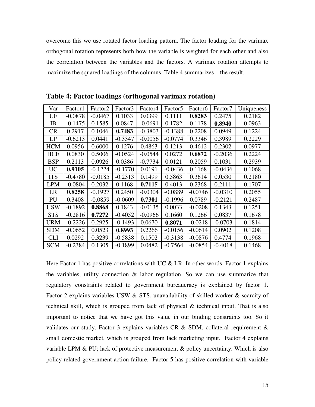overcome this we use rotated factor loading pattern. The factor loading for the varimax orthogonal rotation represents both how the variable is weighted for each other and also the correlation between the variables and the factors. A varimax rotation attempts to maximize the squared loadings of the columns. Table 4 summarizes the result.

| Var        | Factor1   | Factor <sub>2</sub> | Factor3   | Factor4   | Factor <sub>5</sub> | Factor <sub>6</sub> | Factor7   | Uniqueness |
|------------|-----------|---------------------|-----------|-----------|---------------------|---------------------|-----------|------------|
| UF         | $-0.0878$ | $-0.0467$           | 0.1033    | 0.0399    | 0.1111              | 0.8283              | 0.2475    | 0.2182     |
| IB         | $-0.1475$ | 0.1585              | 0.0847    | $-0.0691$ | 0.1782              | 0.1178              | 0.8940    | 0.0963     |
| <b>CR</b>  | 0.2917    | 0.1046              | 0.7483    | $-0.3803$ | $-0.1388$           | 0.2208              | 0.0949    | 0.1224     |
| LP         | $-0.6213$ | 0.0441              | $-0.3347$ | $-0.0056$ | $-0.0774$           | 0.3346              | 0.3989    | 0.2229     |
| <b>HCM</b> | 0.0956    | 0.6000              | 0.1276    | 0.4863    | 0.1213              | 0.4612              | 0.2302    | 0.0977     |
| <b>HCE</b> | 0.0830    | 0.5006              | $-0.0524$ | $-0.0544$ | 0.0272              | 0.6872              | $-0.2036$ | 0.2224     |
| <b>BSP</b> | 0.2113    | 0.0926              | 0.0386    | $-0.7734$ | 0.0121              | 0.2059              | 0.1031    | 0.2939     |
| <b>UC</b>  | 0.9105    | $-0.1224$           | $-0.1770$ | 0.0191    | $-0.0436$           | 0.1168              | $-0.0436$ | 0.1068     |
| <b>ITS</b> | $-0.4780$ | $-0.0185$           | $-0.2313$ | 0.1499    | 0.5863              | 0.3614              | 0.0530    | 0.2180     |
| <b>LPM</b> | $-0.0804$ | 0.2032              | 0.1168    | 0.7115    | 0.4013              | 0.2368              | 0.2111    | 0.1707     |
| LR         | 0.8258    | $-0.1927$           | 0.2450    | $-0.0304$ | $-0.0889$           | $-0.0746$           | $-0.0310$ | 0.2055     |
| PU         | 0.3408    | $-0.0859$           | $-0.0609$ | 0.7301    | $-0.1996$           | 0.0789              | $-0.2121$ | 0.2487     |
| <b>USW</b> | $-0.1892$ | 0.8868              | 0.1843    | $-0.0135$ | 0.0033              | $-0.0208$           | 0.1343    | 0.1251     |
| <b>STS</b> | $-0.2816$ | 0.7272              | $-0.4052$ | $-0.0966$ | 0.1660              | 0.1266              | 0.0837    | 0.1678     |
| <b>URM</b> | $-0.2226$ | 0.2925              | $-0.1493$ | 0.0670    | 0.8071              | $-0.0218$           | $-0.0703$ | 0.1814     |
| <b>SDM</b> | $-0.0652$ | 0.0523              | 0.8993    | 0.2266    | $-0.0156$           | $-0.0614$           | 0.0902    | 0.1208     |
| <b>CLI</b> | 0.0292    | 0.3239              | $-0.5838$ | 0.1502    | $-0.3138$           | $-0.0876$           | 0.4774    | 0.1968     |
| <b>SCM</b> | $-0.2384$ | 0.1305              | $-0.1899$ | 0.0482    | $-0.7564$           | $-0.0854$           | $-0.4018$ | 0.1468     |

**Table 4: Factor loadings (orthogonal varimax rotation)** 

Here Factor 1 has positive correlations with UC  $&$  LR. In other words, Factor 1 explains the variables, utility connection & labor regulation. So we can use summarize that regulatory constraints related to government bureaucracy is explained by factor 1. Factor 2 explains variables USW & STS, unavailability of skilled worker & scarcity of technical skill, which is grouped from lack of physical & technical input. That is also important to notice that we have got this value in our binding constraints too. So it validates our study. Factor 3 explains variables CR & SDM, collateral requirement & small domestic market, which is grouped from lack marketing input. Factor 4 explains variable LPM  $\&$  PU; lack of protective measurement  $\&$  policy uncertainty. Which is also policy related government action failure. Factor 5 has positive correlation with variable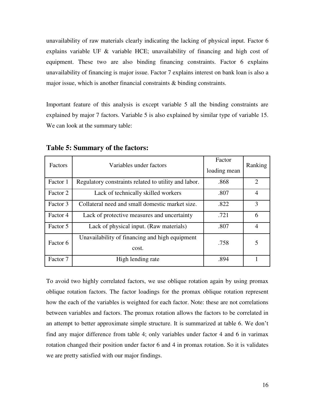unavailability of raw materials clearly indicating the lacking of physical input. Factor 6 explains variable UF & variable HCE; unavailability of financing and high cost of equipment. These two are also binding financing constraints. Factor 6 explains unavailability of financing is major issue. Factor 7 explains interest on bank loan is also a major issue, which is another financial constraints  $\&$  binding constraints.

Important feature of this analysis is except variable 5 all the binding constraints are explained by major 7 factors. Variable 5 is also explained by similar type of variable 15. We can look at the summary table:

| Factors  | Variables under factors                                 | Factor<br>loading mean | Ranking                     |
|----------|---------------------------------------------------------|------------------------|-----------------------------|
| Factor 1 | Regulatory constraints related to utility and labor.    | .868                   | $\mathcal{D}_{\mathcal{L}}$ |
| Factor 2 | Lack of technically skilled workers                     | .807                   | $\overline{4}$              |
| Factor 3 | Collateral need and small domestic market size.         | .822                   | 3                           |
| Factor 4 | Lack of protective measures and uncertainty             | .721                   | 6                           |
| Factor 5 | Lack of physical input. (Raw materials)                 | .807                   | $\overline{4}$              |
| Factor 6 | Unavailability of financing and high equipment<br>cost. | .758                   | 5                           |
| Factor 7 | High lending rate                                       | .894                   |                             |

**Table 5: Summary of the factors:** 

To avoid two highly correlated factors, we use oblique rotation again by using promax oblique rotation factors. The factor loadings for the promax oblique rotation represent how the each of the variables is weighted for each factor. Note: these are not correlations between variables and factors. The promax rotation allows the factors to be correlated in an attempt to better approximate simple structure. It is summarized at table 6. We don"t find any major difference from table 4; only variables under factor 4 and 6 in varimax rotation changed their position under factor 6 and 4 in promax rotation. So it is validates we are pretty satisfied with our major findings.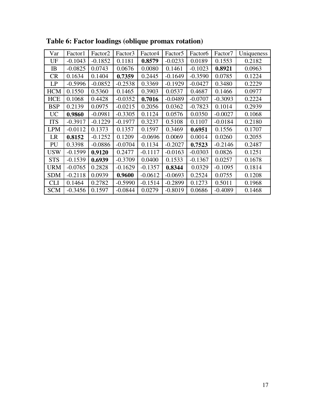| Var        | Factor1   | Factor <sub>2</sub> | Factor3   | Factor4   | Factor <sub>5</sub> | Factor <sub>6</sub> | Factor7   | Uniqueness |
|------------|-----------|---------------------|-----------|-----------|---------------------|---------------------|-----------|------------|
| UF         | $-0.1043$ | $-0.1852$           | 0.1181    | 0.8579    | $-0.0233$           | 0.0189              | 0.1553    | 0.2182     |
| IB         | $-0.0825$ | 0.0743              | 0.0676    | 0.0080    | 0.1461              | $-0.1023$           | 0.8921    | 0.0963     |
| <b>CR</b>  | 0.1634    | 0.1404              | 0.7359    | 0.2445    | $-0.1649$           | $-0.3590$           | 0.0785    | 0.1224     |
| LP         | $-0.5996$ | $-0.0852$           | $-0.2538$ | 0.3369    | $-0.1929$           | $-0.0427$           | 0.3480    | 0.2229     |
| <b>HCM</b> | 0.1550    | 0.5360              | 0.1465    | 0.3903    | 0.0537              | 0.4687              | 0.1466    | 0.0977     |
| <b>HCE</b> | 0.1068    | 0.4428              | $-0.0352$ | 0.7016    | $-0.0489$           | $-0.0707$           | $-0.3093$ | 0.2224     |
| <b>BSP</b> | 0.2139    | 0.0975              | $-0.0215$ | 0.2056    | 0.0362              | $-0.7823$           | 0.1014    | 0.2939     |
| <b>UC</b>  | 0.9860    | $-0.0981$           | $-0.3305$ | 0.1124    | 0.0576              | 0.0350              | $-0.0027$ | 0.1068     |
| <b>ITS</b> | $-0.3917$ | $-0.1229$           | $-0.1977$ | 0.3237    | 0.5108              | 0.1107              | $-0.0184$ | 0.2180     |
| <b>LPM</b> | $-0.0112$ | 0.1373              | 0.1357    | 0.1597    | 0.3469              | 0.6951              | 0.1556    | 0.1707     |
| LR         | 0.8152    | $-0.1252$           | 0.1209    | $-0.0696$ | 0.0069              | 0.0014              | 0.0260    | 0.2055     |
| PU         | 0.3398    | $-0.0886$           | $-0.0704$ | 0.1134    | $-0.2027$           | 0.7523              | $-0.2146$ | 0.2487     |
| <b>USW</b> | $-0.1599$ | 0.9120              | 0.2477    | $-0.1117$ | $-0.0163$           | $-0.0303$           | 0.0826    | 0.1251     |
| <b>STS</b> | $-0.1539$ | 0.6939              | $-0.3709$ | 0.0400    | 0.1533              | $-0.1367$           | 0.0257    | 0.1678     |
| <b>URM</b> | $-0.0765$ | 0.2828              | $-0.1629$ | $-0.1357$ | 0.8344              | 0.0329              | $-0.1095$ | 0.1814     |
| <b>SDM</b> | $-0.2118$ | 0.0939              | 0.9600    | $-0.0612$ | $-0.0693$           | 0.2524              | 0.0755    | 0.1208     |
| <b>CLI</b> | 0.1464    | 0.2782              | $-0.5990$ | $-0.1514$ | $-0.2899$           | 0.1273              | 0.5011    | 0.1968     |
| <b>SCM</b> | $-0.3456$ | 0.1597              | $-0.0844$ | 0.0279    | $-0.8019$           | 0.0686              | $-0.4089$ | 0.1468     |

**Table 6: Factor loadings (oblique promax rotation)**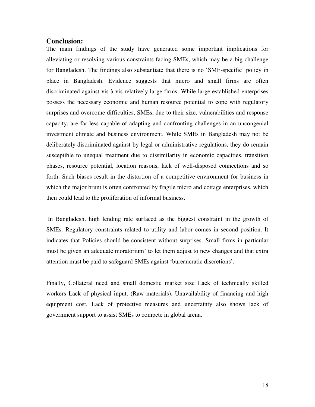#### **Conclusion:**

The main findings of the study have generated some important implications for alleviating or resolving various constraints facing SMEs, which may be a big challenge for Bangladesh. The findings also substantiate that there is no "SME-specific" policy in place in Bangladesh. Evidence suggests that micro and small firms are often discriminated against vis-à-vis relatively large firms. While large established enterprises possess the necessary economic and human resource potential to cope with regulatory surprises and overcome difficulties, SMEs, due to their size, vulnerabilities and response capacity, are far less capable of adapting and confronting challenges in an uncongenial investment climate and business environment. While SMEs in Bangladesh may not be deliberately discriminated against by legal or administrative regulations, they do remain susceptible to unequal treatment due to dissimilarity in economic capacities, transition phases, resource potential, location reasons, lack of well-disposed connections and so forth. Such biases result in the distortion of a competitive environment for business in which the major brunt is often confronted by fragile micro and cottage enterprises, which then could lead to the proliferation of informal business.

 In Bangladesh, high lending rate surfaced as the biggest constraint in the growth of SMEs. Regulatory constraints related to utility and labor comes in second position. It indicates that Policies should be consistent without surprises. Small firms in particular must be given an adequate moratorium" to let them adjust to new changes and that extra attention must be paid to safeguard SMEs against "bureaucratic discretions".

Finally, Collateral need and small domestic market size Lack of technically skilled workers Lack of physical input. (Raw materials), Unavailability of financing and high equipment cost, Lack of protective measures and uncertainty also shows lack of government support to assist SMEs to compete in global arena.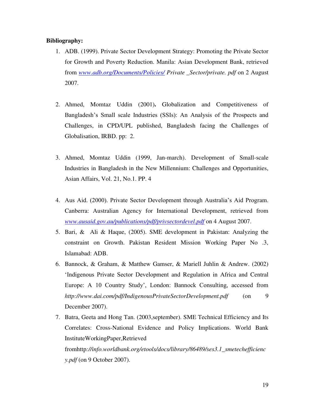#### **Bibliography:**

- 1. ADB. (1999). Private Sector Development Strategy: Promoting the Private Sector for Growth and Poverty Reduction. Manila: Asian Development Bank, retrieved from *[www.adb.org/Documents/Policies/](http://www.adb.org/Documents/Policies/) Private \_Sector/private. pdf* on 2 August 2007.
- 2. Ahmed, Momtaz Uddin (2001)**.** Globalization and Competitiveness of Bangladesh"s Small scale Industries (SSIs): An Analysis of the Prospects and Challenges, in CPD/UPL published, Bangladesh facing the Challenges of Globalisation, IRBD. pp: 2.
- 3. Ahmed, Momtaz Uddin (1999, Jan-march). Development of Small-scale Industries in Bangladesh in the New Millennium: Challenges and Opportunities, Asian Affairs, Vol. 21, No.1. PP. 4
- 4. Aus Aid. (2000). Private Sector Development through Australia"s Aid Program. Canberra: Australian Agency for International Development, retrieved from *[www.ausaid.gov.au/publications/pdf/privsectordevel.pdf](http://www.ausaid.gov.au/publications/pdf/privsectordevel.pdf)* on 4 August 2007.
- 5. Bari, & Ali & Haque, (2005). SME development in Pakistan: Analyzing the constraint on Growth. Pakistan Resident Mission Working Paper No .3, Islamabad: ADB.
- 6. Bannock, & Graham, & Matthew Gamser, & Mariell Juhlin & Andrew. (2002) "Indigenous Private Sector Development and Regulation in Africa and Central Europe: A 10 Country Study", London: Bannock Consulting, accessed from *http://www.dai.com/pdf/IndigenousPrivateSectorDevelopment.pdf* (on 9 December 2007).
- 7. Batra, Geeta and Hong Tan. (2003,september). SME Technical Efficiency and Its Correlates: Cross-National Evidence and Policy Implications. World Bank InstituteWorkingPaper,Retrieved

fromhttp*://info.worldbank.org/etools/docs/library/86489/ses3.1\_smetechefficienc y.pdf* (on 9 October 2007).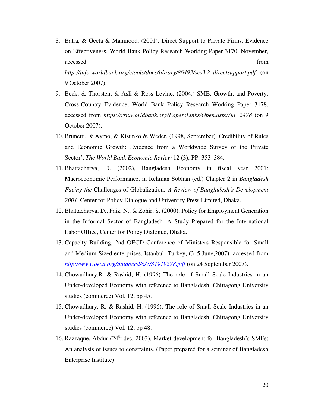- 8. Batra, & Geeta & Mahmood. (2001). Direct Support to Private Firms: Evidence on Effectiveness, World Bank Policy Research Working Paper 3170, November, accessed from  $\sim$ *http://info.worldbank.org/etools/docs/library/86493/ses3.2\_directsupport.pdf* (on 9 October 2007).
- 9. Beck, & Thorsten, & Asli & Ross Levine. (2004.) SME, Growth, and Poverty: Cross-Country Evidence, World Bank Policy Research Working Paper 3178, accessed from *https://rru.worldbank.org/PapersLinks/Open.aspx?id=2478* (on 9 October 2007).
- 10. Brunetti, & Aymo, & Kisunko & Weder. (1998, September). Credibility of Rules and Economic Growth: Evidence from a Worldwide Survey of the Private Sector", *The World Bank Economic Review* 12 (3), PP: 353–384.
- 11. Bhattacharya, D. (2002), Bangladesh Economy in fiscal year 2001: Macroeconomic Performance, in Rehman Sobhan (ed.) Chapter 2 in *Bangladesh Facing the* Challenges of Globalization*: A Review of Bangladesh's Development 2001*, Center for Policy Dialogue and University Press Limited, Dhaka.
- 12. Bhattacharya, D., Faiz, N., & Zohir, S. (2000), Policy for Employment Generation in the Informal Sector of Bangladesh .A Study Prepared for the International Labor Office, Center for Policy Dialogue, Dhaka.
- 13. Capacity Building, 2nd OECD Conference of Ministers Responsible for Small and Medium-Sized enterprises, Istanbul, Turkey, (3–5 June,2007) accessed from *<http://www.oecd.org/dataoecd/6/7/31919278.pdf>* (on 24 September 2007).
- 14. Chowudhury,R .& Rashid, H. (1996) The role of Small Scale Industries in an Under-developed Economy with reference to Bangladesh. Chittagong University studies (commerce) Vol. 12, pp 45.
- 15. Chowudhury, R. & Rashid, H. (1996). The role of Small Scale Industries in an Under-developed Economy with reference to Bangladesh. Chittagong University studies (commerce) Vol. 12, pp 48.
- 16. Razzaque, Abdur ( $24<sup>th</sup>$  dec, 2003). Market development for Bangladesh's SMEs: An analysis of issues to constraints. (Paper prepared for a seminar of Bangladesh Enterprise Institute)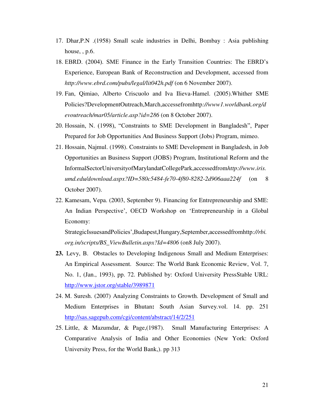- 17. Dhar,P.N .(1958) Small scale industries in Delhi, Bombay : Asia publishing house, , p.6.
- 18. EBRD. (2004). SME Finance in the Early Transition Countries: The EBRD"s Experience, European Bank of Reconstruction and Development, accessed from *http://www.ebrd.com/pubs/legal/lit042h.pdf* (on 6 November 2007).
- 19. Fan, Qimiao, Alberto Criscuolo and Iva Ilieva-Hamel. (2005).Whither SME Policies?DevelopmentOutreach,March,accessefromhttp*://www1.worldbank.org/d evoutreach/mar05/article.asp?id=286* (on 8 October 2007).
- 20. Hossain, N. (1998), "Constraints to SME Development in Bangladesh", Paper Prepared for Job Opportunities And Business Support (Jobs) Program, mimeo.
- 21. Hossain, Najmul. (1998). Constraints to SME Development in Bangladesh, in Job Opportunities an Business Support (JOBS) Program, Institutional Reform and the InformalSectorUniversityofMarylandatCollegePark,accessedfrom*http://www.iris. umd.edu/download.aspx?ID=580c5484-fe70-4f80-8282-2d906aaa224f* (on 8 October 2007).
- 22. Kamesam, Vepa. (2003, September 9). Financing for Entrepreneurship and SME: An Indian Perspective", OECD Workshop on "Entrepreneurship in a Global Economy:

StrategicIssuesandPolicies",Budapest,Hungary,September,accessedfromhttp*://rbi. org.in/scripts/BS\_ViewBulletin.aspx?Id=4806* (on8 July 2007).

- **23.** Levy, B. Obstacles to Developing Indigenous Small and Medium Enterprises: An Empirical Assessment. Source: The World Bank Economic Review, Vol. 7, No. 1, (Jan., 1993), pp. 72. Published by: Oxford University PressStable URL: <http://www.jstor.org/stable/3989871>
- 24. M. Suresh. (2007) Analyzing Constraints to Growth. Development of Small and Medium Enterprises in Bhutan**:** South Asian Survey*.*vol. 14. pp. 251 <http://sas.sagepub.com/cgi/content/abstract/14/2/251>
- 25. Little, & Mazumdar, & Page,(1987). Small Manufacturing Enterprises: A Comparative Analysis of India and Other Economies (New York: Oxford University Press, for the World Bank,). pp 313